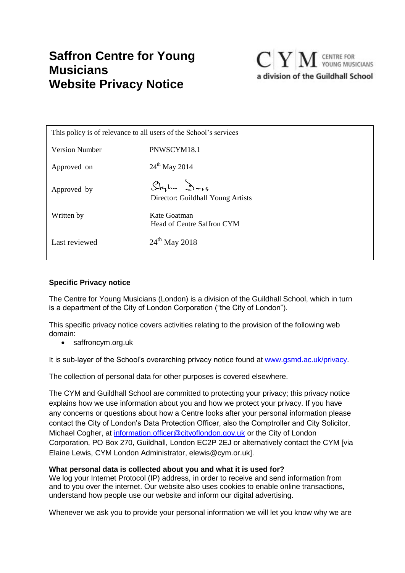# **Saffron Centre for Young Musicians Website Privacy Notice**



| This policy is of relevance to all users of the School's services |                                                   |  |  |
|-------------------------------------------------------------------|---------------------------------------------------|--|--|
| <b>Version Number</b>                                             | PNWSCYM18.1                                       |  |  |
| Approved on                                                       | $24^{th}$ May 2014                                |  |  |
| Approved by                                                       | Stylu Dags<br>Director: Guildhall Young Artists   |  |  |
| Written by                                                        | Kate Goatman<br><b>Head of Centre Saffron CYM</b> |  |  |
| Last reviewed                                                     | $24^{th}$ May 2018                                |  |  |

# **Specific Privacy notice**

The Centre for Young Musicians (London) is a division of the Guildhall School, which in turn is a department of the City of London Corporation ("the City of London").

This specific privacy notice covers activities relating to the provision of the following web domain:

• saffroncym.org.uk

It is sub-layer of the School's overarching privacy notice found at www.gsmd.ac.uk/privacy.

The collection of personal data for other purposes is covered elsewhere.

The CYM and Guildhall School are committed to protecting your privacy; this privacy notice explains how we use information about you and how we protect your privacy. If you have any concerns or questions about how a Centre looks after your personal information please contact the City of London's Data Protection Officer, also the Comptroller and City Solicitor, Michael Cogher, at [information.officer@cityoflondon.gov.uk](mailto:information.officer@cityoflondon.gov.uk) or the City of London Corporation, PO Box 270, Guildhall, London EC2P 2EJ or alternatively contact the CYM [via Elaine Lewis, CYM London Administrator, elewis@cym.or.uk].

# **What personal data is collected about you and what it is used for?**

We log your Internet Protocol (IP) address, in order to receive and send information from and to you over the internet. Our website also uses cookies to enable online transactions, understand how people use our website and inform our digital advertising.

Whenever we ask you to provide your personal information we will let you know why we are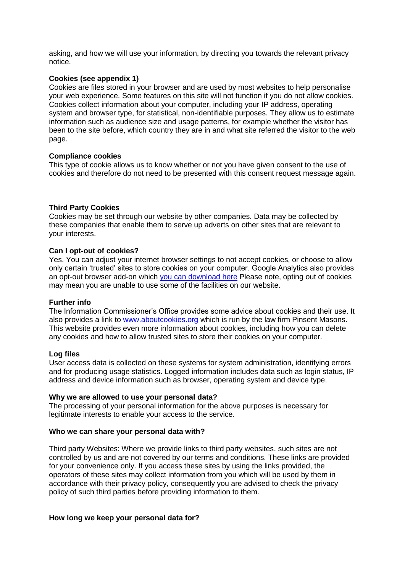asking, and how we will use your information, by directing you towards the relevant privacy notice.

# **Cookies (see appendix 1)**

Cookies are files stored in your browser and are used by most websites to help personalise your web experience. Some features on this site will not function if you do not allow cookies. Cookies collect information about your computer, including your IP address, operating system and browser type, for statistical, non-identifiable purposes. They allow us to estimate information such as audience size and usage patterns, for example whether the visitor has been to the site before, which country they are in and what site referred the visitor to the web page.

# **Compliance cookies**

This type of cookie allows us to know whether or not you have given consent to the use of cookies and therefore do not need to be presented with this consent request message again.

# **Third Party Cookies**

Cookies may be set through our website by other companies. Data may be collected by these companies that enable them to serve up adverts on other sites that are relevant to your interests.

#### **Can I opt-out of cookies?**

Yes. You can adjust your internet browser settings to not accept cookies, or choose to allow only certain 'trusted' sites to store cookies on your computer. Google Analytics also provides an opt-out browser add-on which [you can download here](https://tools.google.com/dlpage/gaoptout?hl=None) Please note, opting out of cookies may mean you are unable to use some of the facilities on our website.

#### **Further info**

The Information Commissioner's Office provides some advice about cookies and their use. It also provides a link to www.aboutcookies.org which is run by the law firm Pinsent Masons. This website provides even more information about cookies, including how you can delete any cookies and how to allow trusted sites to store their cookies on your computer.

#### **Log files**

User access data is collected on these systems for system administration, identifying errors and for producing usage statistics. Logged information includes data such as login status, IP address and device information such as browser, operating system and device type.

#### **Why we are allowed to use your personal data?**

The processing of your personal information for the above purposes is necessary for legitimate interests to enable your access to the service.

#### **Who we can share your personal data with?**

Third party Websites: Where we provide links to third party websites, such sites are not controlled by us and are not covered by our terms and conditions. These links are provided for your convenience only. If you access these sites by using the links provided, the operators of these sites may collect information from you which will be used by them in accordance with their privacy policy, consequently you are advised to check the privacy policy of such third parties before providing information to them.

#### **How long we keep your personal data for?**